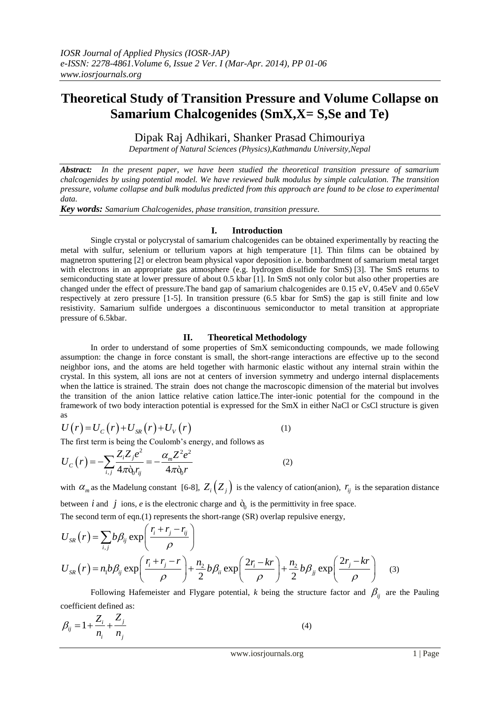# **Theoretical Study of Transition Pressure and Volume Collapse on Samarium Chalcogenides (SmX,X= S,Se and Te)**

Dipak Raj Adhikari, Shanker Prasad Chimouriya

*Department of Natural Sciences (Physics),Kathmandu University,Nepal*

*Abstract: In the present paper, we have been studied the theoretical transition pressure of samarium chalcogenides by using potential model. We have reviewed bulk modulus by simple calculation. The transition pressure, volume collapse and bulk modulus predicted from this approach are found to be close to experimental data.*

*Key words: Samarium Chalcogenides, phase transition, transition pressure.* 

## **I. Introduction**

Single crystal or polycrystal of samarium chalcogenides can be obtained experimentally by reacting the metal with sulfur, selenium or tellurium vapors at high temperature [1]. Thin films can be obtained by magnetron sputtering [2] or electron beam physical vapor deposition i.e. bombardment of samarium metal target with electrons in an appropriate gas atmosphere (e.g. hydrogen disulfide for SmS) [3]. The SmS returns to semiconducting state at lower pressure of about 0.5 kbar [1]. In SmS not only color but also other properties are changed under the effect of pressure.The band gap of samarium chalcogenides are 0.15 eV, 0.45eV and 0.65eV respectively at zero pressure [1-5]. In transition pressure (6.5 kbar for SmS) the gap is still finite and low resistivity. Samarium sulfide undergoes a discontinuous semiconductor to metal transition at appropriate pressure of 6.5kbar.

## **II. Theoretical Methodology**

In order to understand of some properties of SmX semiconducting compounds, we made following assumption: the change in force constant is small, the short-range interactions are effective up to the second neighbor ions, and the atoms are held together with harmonic elastic without any internal strain within the crystal. In this system, all ions are not at centers of inversion symmetry and undergo internal displacements when the lattice is strained. The strain does not change the macroscopic dimension of the material but involves the transition of the anion lattice relative cation lattice.The inter-ionic potential for the compound in the framework of two body interaction potential is expressed for the SmX in either NaCl or CsCl structure is given as

as  
\n
$$
U(r) = U_c(r) + U_{SR}(r) + U_V(r)
$$
\n(1)

The first term is being the Coulomb's energy, and follows as  
\n
$$
U_C(r) = -\sum_{i,j} \frac{Z_i Z_j e^2}{4\pi \dot{\mathbf{q}} r_{ij}} = -\frac{\alpha_m Z^2 e^2}{4\pi \dot{\mathbf{q}} r}
$$
\n(2)

with  $\alpha_m$  as the Madelung constant [6-8],  $Z_i\left(Z_j\right)$  is the valency of cation(anion),  $r_{ij}$  is the separation distance between *i* and *j* ions, *e* is the electronic charge and  $\dot{Q}_0$  is the permittivity in free space.

The second term of eqn.(1) represents the short-range (SR) overlap repulsive energy,  
\n
$$
U_{SR}(r) = \sum_{i,j} b\beta_{ij} \exp\left(\frac{r_i + r_j - r_{ij}}{\rho}\right)
$$
\n
$$
U_{SR}(r) = n_1 b\beta_{ij} \exp\left(\frac{r_i + r_j - r}{\rho}\right) + \frac{n_2}{2} b\beta_{ii} \exp\left(\frac{2r_i - kr}{\rho}\right) + \frac{n_2}{2} b\beta_{jj} \exp\left(\frac{2r_j - kr}{\rho}\right)
$$
\n(3)

Following Hafemeister and Flygare potential, *k* being the structure factor and  $\beta_{ij}$  are the Pauling coefficient defined as:

$$
\beta_{ij} = 1 + \frac{Z_i}{n_i} + \frac{Z_j}{n_j} \tag{4}
$$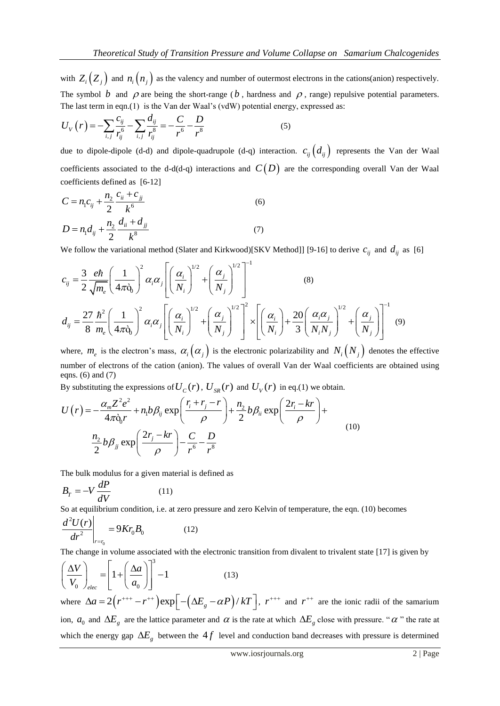with  $Z_i\left(Z_j\right)$  and  $n_i\left(n_j\right)$  as the valency and number of outermost electrons in the cations(anion) respectively. The symbol  $b$  and  $\rho$  are being the short-range ( $b$ , hardness and  $\rho$ , range) repulsive potential parameters.

The last term in eqn.(1) is the Van der Waal's (vdW) potential energy, expressed as:  
\n
$$
U_V(r) = -\sum_{i,j} \frac{c_{ij}}{r_{ij}^6} - \sum_{i,j} \frac{d_{ij}}{r_{ij}^8} = -\frac{C}{r^6} - \frac{D}{r^8}
$$
\n(5)

due to dipole-dipole (d-d) and dipole-quadrupole (d-q) interaction.  $c_{ij}$   $(d_{ij})$  represents the Van der Waal coefficients associated to the d-d(d-q) interactions and  $C(D)$  are the corresponding overall Van der Waal coefficients defined as [6-12]

$$
C = n_1 c_{ij} + \frac{n_2}{2} \frac{c_{ii} + c_{jj}}{k^6}
$$
  
\n
$$
D = n_1 d_{ij} + \frac{n_2}{2} \frac{d_{ii} + d_{jj}}{k^8}
$$
 (6)

We follow the variational method (Slater and Kirkwood)[SKV Method]] [9-16] to derive  $c_{ij}$  and  $d_{ij}$  as [6]

We follow the variational method (Slater and Kirkwood)[SKV Method]] [9-16] to derive 
$$
c_{ij}
$$
 and  $d_{ij}$  as [6]  
\n
$$
c_{ij} = \frac{3}{2} \frac{e\hbar}{\sqrt{m_e}} \left(\frac{1}{4\pi\dot{\theta}_0}\right)^2 \alpha_i \alpha_j \left[\left(\frac{\alpha_i}{N_i}\right)^{1/2} + \left(\frac{\alpha_j}{N_j}\right)^{1/2}\right]^{-1} \qquad (8)
$$
\n
$$
d_{ij} = \frac{27}{8} \frac{\hbar^2}{m_e} \left(\frac{1}{4\pi\dot{\theta}_0}\right)^2 \alpha_i \alpha_j \left[\left(\frac{\alpha_i}{N_i}\right)^{1/2} + \left(\frac{\alpha_j}{N_j}\right)^{1/2}\right]^2 \times \left[\left(\frac{\alpha_i}{N_i}\right) + \frac{20}{3} \left(\frac{\alpha_i \alpha_j}{N_i N_j}\right)^{1/2} + \left(\frac{\alpha_j}{N_j}\right)\right]^{-1} \qquad (9)
$$

where,  $m_e$  is the electron's mass,  $\alpha_i(\alpha_j)$  is the electronic polarizability and  $N_i(N_j)$  denotes the effective number of electrons of the cation (anion). The values of overall Van der Waal coefficients are obtained using eqns.  $(6)$  and  $(7)$ 

eqns. (6) and (7)  
\nBy substituting the expressions of 
$$
U_C(r)
$$
,  $U_{SR}(r)$  and  $U_V(r)$  in eq.(1) we obtain.  
\n
$$
U(r) = -\frac{\alpha_m Z^2 e^2}{4\pi \dot{\mathbf{q}}_0 r} + n_1 b \beta_{ij} \exp\left(\frac{r_i + r_j - r}{\rho}\right) + \frac{n_2}{2} b \beta_{ii} \exp\left(\frac{2r_i - kr}{\rho}\right) + \frac{n_2}{2} b \beta_{jj} \exp\left(\frac{2r_j - kr}{\rho}\right) - \frac{C}{r^6} - \frac{D}{r^8}
$$
\n(10)

The bulk modulus for a given material is defined as

$$
B_T = -V \frac{dP}{dV} \tag{11}
$$

So at equilibrium condition, i.e. at zero pressure and zero Kelvin of temperature, the eqn. (10) becomes

$$
\left. \frac{d^2 U(r)}{dr^2} \right|_{r=r_0} = 9Kr_0 B_0 \tag{12}
$$

The change in volume associated with the electronic transition from divalent to trivalent state [17] is given by<br>  $\begin{pmatrix} \Delta V \end{pmatrix}$   $\begin{bmatrix} \Delta a \end{bmatrix}^3$  1

$$
\left(\frac{\Delta V}{V_0}\right)_{elec} = \left[1 + \left(\frac{\Delta a}{a_0}\right)\right]^3 - 1\tag{13}
$$

 $\left( V_0 \right)_{elec} \left[ \left( a_0 \right) \right]$ <br>where  $\Delta a = 2(r^{+++} - r^{++}) \exp \left[ -(\Delta E_g - \alpha P)/kT \right]$ ,  $r^{++}$  and  $r^{++}$  are the ionic radii of the samarium ion,  $a_0$  and  $\Delta E_g$  are the lattice parameter and  $\alpha$  is the rate at which  $\Delta E_g$  close with pressure. " $\alpha$ " the rate at which the energy gap  $\Delta E_g$  between the 4f level and conduction band decreases with pressure is determined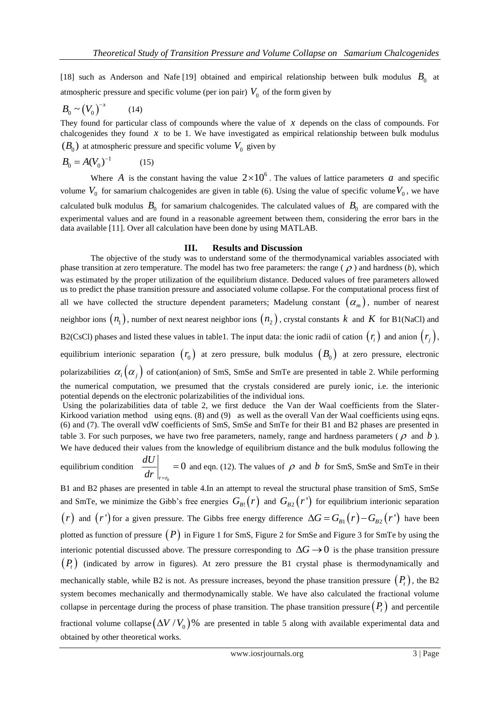[18] such as Anderson and Nafe [19] obtained and empirical relationship between bulk modulus  $B_0$  at atmospheric pressure and specific volume (per ion pair)  $V_0$  of the form given by

$$
B_0 \sim \left(V_0\right)^{-x} \tag{14}
$$

They found for particular class of compounds where the value of  $x$  depends on the class of compounds. For chalcogenides they found  $x$  to be 1. We have investigated as empirical relationship between bulk modulus  $(B_0)$  at atmospheric pressure and specific volume  $V_0$  given by

$$
B_0 = A(V_0)^{-1}
$$
 (15)

Where A is the constant having the value  $2 \times 10^6$ . The values of lattice parameters a and specific volume  $V_0$  for samarium chalcogenides are given in table (6). Using the value of specific volume  $V_0$ , we have calculated bulk modulus  $B_0$  for samarium chalcogenides. The calculated values of  $B_0$  are compared with the experimental values and are found in a reasonable agreement between them, considering the error bars in the data available [11]. Over all calculation have been done by using MATLAB.

#### **III. Results and Discussion**

The objective of the study was to understand some of the thermodynamical variables associated with phase transition at zero temperature. The model has two free parameters: the range  $(\rho)$  and hardness  $(b)$ , which was estimated by the proper utilization of the equilibrium distance. Deduced values of free parameters allowed us to predict the phase transition pressure and associated volume collapse. For the computational process first of all we have collected the structure dependent parameters; Madelung constant  $(\alpha_m)$ , number of nearest neighbor ions  $(n_1)$ , number of next nearest neighbor ions  $(n_2)$ , crystal constants k and K for B1(NaCl) and B2(CsCl) phases and listed these values in table1. The input data: the ionic radii of cation  $(r_i)$  and anion  $(r_j)$ , equilibrium interionic separation  $(r_0)$  at zero pressure, bulk modulus  $(B_0)$  at zero pressure, electronic polarizabilities  $\alpha_i(\alpha_j)$  of cation(anion) of SmS, SmSe and SmTe are presented in table 2. While performing the numerical computation, we presumed that the crystals considered are purely ionic, i.e. the interionic potential depends on the electronic polarizabilities of the individual ions. Using the polarizabilities data of table 2, we first deduce the Van der Waal coefficients from the Slater-Kirkood variation method using eqns. (8) and (9) as well as the overall Van der Waal coefficients using eqns. (6) and (7). The overall vdW coefficients of SmS, SmSe and SmTe for their B1 and B2 phases are presented in table 3. For such purposes, we have two free parameters, namely, range and hardness parameters ( $\rho$  and  $b$ ). We have deduced their values from the knowledge of equilibrium distance and the bulk modulus following the equilibrium condition  $\frac{uv}{v}$  = 0 0  $r = r$ *dU*  $dr \big|_{r=0}$  $= 0$  and eqn. (12). The values of  $\rho$  and b for SmS, SmSe and SmTe in their B1 and B2 phases are presented in table 4.In an attempt to reveal the structural phase transition of SmS, SmSe and SmTe, we minimize the Gibb's free energies  $G_{B}^{\{r\}}(r)$  and  $G_{B_2}^{\{r\}}(r')$  for equilibrium interionic separation  $r$  and  $r'$  for a given pressure. The Gibbs free energy difference  $\Delta G = G_{B1}(r) - G_{B2}(r')$  have been plotted as function of pressure  $(P)$  in [Figure 1](#page-4-0) for SmS, [Figure 2](#page-4-1) for SmSe and [Figure 3](#page-5-0) for SmTe by using the interionic potential discussed above. The pressure corresponding to  $\Delta G \rightarrow 0$  is the phase transition pressure  $(P_t)$  (indicated by arrow in figures). At zero pressure the B1 crystal phase is thermodynamically and mechanically stable, while B2 is not. As pressure increases, beyond the phase transition pressure  $(P<sub>t</sub>)$ , the B2 system becomes mechanically and thermodynamically stable. We have also calculated the fractional volume collapse in percentage during the process of phase transition. The phase transition pressure  $(P_t)$  and percentile fractional volume collapse  $(\Delta V/V_0)$ % are presented in table 5 along with available experimental data and obtained by other theoretical works.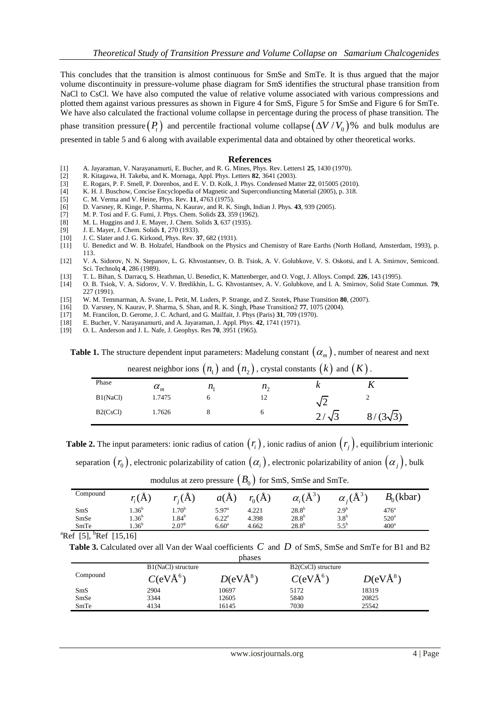This concludes that the transition is almost continuous for SmSe and SmTe. It is thus argued that the major volume discontinuity in pressure-volume phase diagram for SmS identifies the structural phase transition from NaCl to CsCl. We have also computed the value of relative volume associated with various compressions and plotted them against various pressures as shown in [Figure 4](#page-5-1) for SmS[, Figure 5](#page-5-2) for SmSe and [Figure 6](#page-5-3) for SmTe. We have also calculated the fractional volume collapse in percentage during the process of phase transition. The

phase transition pressure  $(P_t)$  and percentile fractional volume collapse  $(\Delta V/V_0)$ % and bulk modulus are presented in table 5 and 6 along with available experimental data and obtained by other theoretical works.

#### **References**

- [1] A. Jayaraman, V. Narayanamurti, E. Bucher, and R. G. Mines, Phys. Rev. Letters1 **25**, 1430 (1970).
- [2] R. Kitagawa, H. Takeba, and K. Mornaga, Appl. Phys. Letters **82**, 3641 (2003).
- [3] E. Rogars, P. F. Smell, P. Dorenbos, and E. V. D. Kolk, J. Phys. Condensed Matter **22**, 015005 (2010).
- K. H. J. Buschow, Concise Encyclopedia of Magnetic and Supercondiuncting Material (2005), p. 318.
- [5] C. M. Verma and V. Heine, Phys. Rev. **11**, 4763 (1975).
- [6] D. Varsney, R. Kinge, P. Sharma, N. Kaurav, and R. K. Singh, Indian J. Phys. **43**, 939 (2005).
- [7] M. P. Tosi and F. G. Fumi, J. Phys. Chem. Solids **23**, 359 (1962).
- [8] M. L. Huggins and J. E. Mayer, J. Chem. Solids **3**, 637 (1935).
- [9] J. E. Mayer, J. Chem. Solids **1**, 270 (1933).
- [10] J. C. Slater and J. G. Kirkood, Phys. Rev. **37**, 682 (1931).
- [11] U. Benedict and W. B. Holzafel, Handbook on the Physics and Chemistry of Rare Earths (North Holland, Amsterdam, 1993), p. 113.
- [12] V. A. Sidorov, N. N. Stepanov, L. G. Khvostantsev, O. B. Tsiok, A. V. Golubkove, V. S. Oskotsi, and I. A. Smirnov, Semicond. Sci. Technolq **4**, 286 (1989).
- [13] T. L. Bihan, S. Darracq, S. Heathman, U. Benedict, K. Mattenberger, and O. Vogt, J. Alloys. Compd. **226**, 143 (1995).
- [14] O. B. Tsiok, V. A. Sidorov, V. V. Bredikhin, L. G. Khvostantsev, A. V. Golubkove, and I. A. Smirnov, Solid State Commun. **79**, 227 (1991).
- [15] W. M. Temmarman, A. Svane, L. Petit, M. Luders, P. Strange, and Z. Szotek, Phase Transition **80**, (2007).
- [16] D. Varsney, N. Kaurav, P. Sharma, S. Shan, and R. K. Singh, Phase Transition2 **77**, 1075 (2004).
- [17] M. Francilon, D. Gerome, J. C. Achard, and G. Mailfait, J. Phys (Paris) **31**, 709 (1970).
- [18] E. Bucher, V. Narayanamurti, and A. Jayaraman, J. Appl. Phys. **42**, 1741 (1971).
- [19] O. L. Anderson and J. L. Nafe, J. Geophys. Res **70**, 3951 (1965).

**Table 1.** The structure dependent input parameters: Madelung constant  $(\alpha_m)$  , number of nearest and next

|          |              |             | nearest neighbor ions $(n_1)$ and $(n_2)$ , crystal constants $(k)$ and $(K)$ . |              |                 |
|----------|--------------|-------------|---------------------------------------------------------------------------------|--------------|-----------------|
| Phase    | $\alpha_{m}$ | $n_{\rm i}$ | $n_{\gamma}$                                                                    |              |                 |
| B1(NaCl) | 1.7475       |             |                                                                                 | $\sqrt{2}$   |                 |
| B2(CsCl) | 1.7626       |             | n                                                                               | $2/\sqrt{3}$ | $8/(3\sqrt{3})$ |

**Table 2.** The input parameters: ionic radius of cation  $(r_i)$ , ionic radius of anion  $(r_j)$ , equilibrium interionic

separation  $(r_0)$ , electronic polarizability of cation  $(\alpha_i)$ , electronic polarizability of anion  $(\alpha_j)$ , bulk

| $\cup$<br>$\sim$ $-$                                                                   |            |                   |                   |                    |                    |                              |               |
|----------------------------------------------------------------------------------------|------------|-------------------|-------------------|--------------------|--------------------|------------------------------|---------------|
| Compound                                                                               | $r_i(A)$   | $r_{i}(A)$        | $a(\AA)$          | $r_{0}(\check{A})$ | $\alpha_i(\AA^{3}$ | $\alpha_i$ ( $\rm \AA^{3}$ ) | $B_0$ (kbar)  |
| SmS                                                                                    | $1.36^{b}$ | $1.70^{b}$        | $5.97^{\circ}$    | 4.221              | $28.8^{b}$         | 2.9 <sup>b</sup>             | $476^{\circ}$ |
| SmSe                                                                                   | $1.36^{b}$ | $1.84^{\rm b}$    | $6.22^{\rm a}$    | 4.398              | $28.8^{b}$         | 3.8 <sup>b</sup>             | $520^{\circ}$ |
| SmTe                                                                                   | $1.36^{b}$ | 2.07 <sup>b</sup> | 6.60 <sup>a</sup> | 4.662              | $28.8^{b}$         | $5.5^{\circ}$                | $400^a$       |
| $\alpha$ $\alpha$ $\alpha$ $\beta$ $\alpha$ $\alpha$ $\beta$ $\alpha$ $\beta$ $\alpha$ |            |                   |                   |                    |                    |                              |               |

modulus at zero pressure  $\left(B_{0}\right)$  for SmS, SmSe and SmTe.

<sup>a</sup>Ref [5], <sup>b</sup>Ref [15,16]

Table 3. Calculated over all Van der Waal coefficients C and D of SmS, SmSe and SmTe for B1 and B2

|          |                      | phases       |                      |            |
|----------|----------------------|--------------|----------------------|------------|
|          | B1(NaCl) structure   |              | B2(CsCl) structure   |            |
| Compound | C(eVÅ <sup>6</sup> ) | $D(eV\AA^8)$ | C(eVÅ <sup>6</sup> ) | $D(eVÅ^8)$ |
| SmS      | 2904                 | 10697        | 5172                 | 18319      |
| SmSe     | 3344                 | 12605        | 5840                 | 20825      |
| SmTe     | 4134                 | 16145        | 7030                 | 25542      |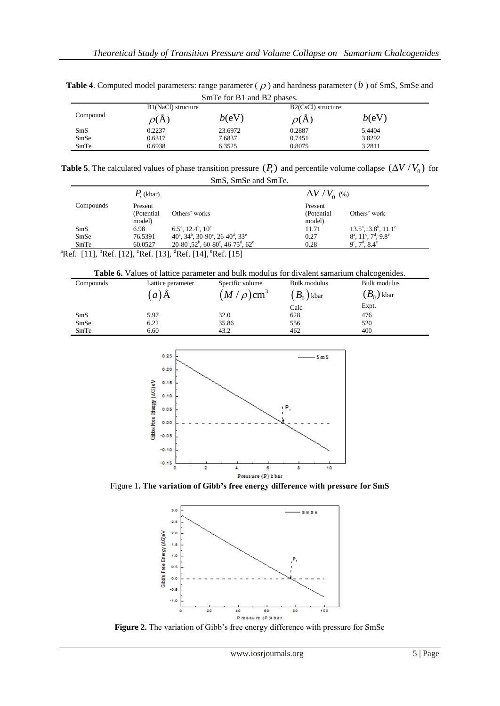| Sm <sub>I</sub> e for B <sub>I</sub> and B <sub>2</sub> phases. |                    |         |                    |        |  |  |
|-----------------------------------------------------------------|--------------------|---------|--------------------|--------|--|--|
|                                                                 | B1(NaCl) structure |         | B2(CsCl) structure |        |  |  |
| Compound                                                        | $\rho(A)$          | b(eV)   | $\rho(A)$          | b(eV)  |  |  |
| SmS                                                             | 0.2237             | 23.6972 | 0.2887             | 5.4404 |  |  |
| SmSe                                                            | 0.6317             | 7.6837  | 0.7451             | 3.8292 |  |  |
| SmTe                                                            | 0.6938             | 6.3525  | 0.8075             | 3.2811 |  |  |

Table 4. Computed model parameters: range parameter ( $\rho$ ) and hardness parameter ( $b$ ) of SmS, SmSe and SmTe for B1 and B2 phases.

**Table 5**. The calculated values of phase transition pressure  $(P_t)$  and percentile volume collapse  $(\Delta V/V_0)$  for SmS, SmSe and SmTe.

|           | $P_{t}$ (kbar) |                                                                                  | $\Delta V/V_{0}$ (%) |                                                                      |  |  |
|-----------|----------------|----------------------------------------------------------------------------------|----------------------|----------------------------------------------------------------------|--|--|
| Compounds | Present        |                                                                                  | Present              |                                                                      |  |  |
|           | (Potential)    | Others' works                                                                    | (Potential)          | Others' work                                                         |  |  |
|           | model)         |                                                                                  | model)               |                                                                      |  |  |
| SmS       | 6.98           | $6.5^{\text{a}}$ , 12.4 <sup>b</sup> , 10 <sup>e</sup>                           | 11.71                | $13.5^a$ , $13.8^b$ , $11.1^e$                                       |  |  |
| SmSe      | 76.5391        | $40^{\circ}, 34^{\circ}, 30\text{-}90^{\circ}, 26\text{-}40^{\circ}, 33^{\circ}$ | 0.27                 | $8^{\text{a}}$ , $11^{\text{c}}$ , $7^{\text{d}}$ , $9.8^{\text{e}}$ |  |  |
| SmTe      | 60.0527        | $20-80^{\circ}, 52^{\circ}, 60-80^{\circ}, 46-75^{\circ}, 62^{\circ}$            | 0.28                 | $9^{\circ}$ , $7^{\circ}$ , $8.4^{\circ}$                            |  |  |
|           |                |                                                                                  |                      |                                                                      |  |  |

<sup>a</sup>Ref. [11], <sup>b</sup>Ref. [12], <sup>c</sup>Ref. [13], <sup>d</sup>Ref. [14], <sup>e</sup>Ref. [15]

**Table 6.** Values of lattice parameter and bulk modulus for divalent samarium chalcogenides.

| Compounds | Lattice parameter | Specific volume            | Bulk modulus | Bulk modulus |
|-----------|-------------------|----------------------------|--------------|--------------|
|           | $a)$ A            | $(M/\rho)$ cm <sup>3</sup> | $B_0$ ) kbar | $(B_0)$ kbar |
|           |                   |                            | Calc         | Expt.        |
| SmS       | 5.97              | 32.0                       | 628          | 476          |
| SmSe      | 6.22              | 35.86                      | 556          | 520          |
| SmTe      | 6.60              | 43.2                       | 462          | 400          |



<span id="page-4-0"></span>Figure 1**. The variation of Gibb's free energy difference with pressure for SmS**



<span id="page-4-1"></span>**Figure 2.** The variation of Gibb's free energy difference with pressure for SmSe